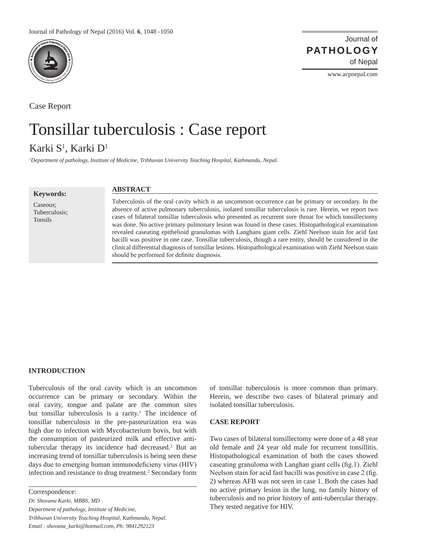

Case Report

Journal of of Nepal **PATHOLOGY**

www.acpnepal.com

# Tonsillar tuberculosis : Case report

# Karki S<sup>1</sup>, Karki D<sup>1</sup>

*1 Department of pathology, Institute of Medicine, Tribhuvan University Teaching Hospital, Kathmandu, Nepal.* 

**Keywords:**

Caseous; Tuberculosis; Tonsils

## **ABSTRACT**

Tuberculosis of the oral cavity which is an uncommon occurrence can be primary or secondary. In the absence of active pulmonary tuberculosis, isolated tonsillar tuberculosis is rare. Herein, we report two cases of bilateral tonsillar tuberculosis who presented as recurrent sore throat for which tonsillectomy was done. No active primary pulmonary lesion was found in these cases. Histopathological examination revealed caseating epithelioid granulomas with Langhans giant cells. Ziehl Neelson stain for acid fast bacilli was positive in one case. Tonsillar tuberculosis, though a rare entity, should be considered in the clinical differential diagnosis of tonsillar lesions. Histopathological examination with Ziehl Neelson stain should be performed for definite diagnosis.

#### **INTRODUCTION**

Tuberculosis of the oral cavity which is an uncommon occurrence can be primary or secondary. Within the oral cavity, tongue and palate are the common sites but tonsillar tuberculosis is a rarity.<sup>1</sup> The incidence of tonsillar tuberculosis in the pre-pasteurization era was high due to infection with Mycobacterium bovis, but with the consumption of pasteurized milk and effective antitubercular therapy its incidence had decreased.<sup>2</sup> But an increasing trend of tonsillar tuberculosis is being seen these days due to emerging human immunodeficieny virus (HIV) infection and resistance to drug treatment.<sup>2</sup> Secondary form

Correspondence:

*Dr. Shovana Karki, MBBS, MD Department of pathology, Institute of Medicine, Tribhuvan University Teaching Hospital, Kathmandu, Nepal. Email : shovana\_karki@hotmail.com, Ph: 9841292123*

of tonsillar tuberculosis is more common than primary. Herein, we describe two cases of bilateral primary and isolated tonsillar tuberculosis.

#### **CASE REPORT**

Two cases of bilateral tonsillectomy were done of a 48 year old female and 24 year old male for recurrent tonsillitis. Histopathological examination of both the cases showed caseating granuloma with Langhan giant cells (fig.1). Ziehl Neelson stain for acid fast bacilli was positive in case 2 (fig. 2) whereas AFB was not seen in case 1. Both the cases had no active primary lesion in the lung, no family history of tuberculosis and no prior history of anti-tubercular therapy. They tested negative for HIV.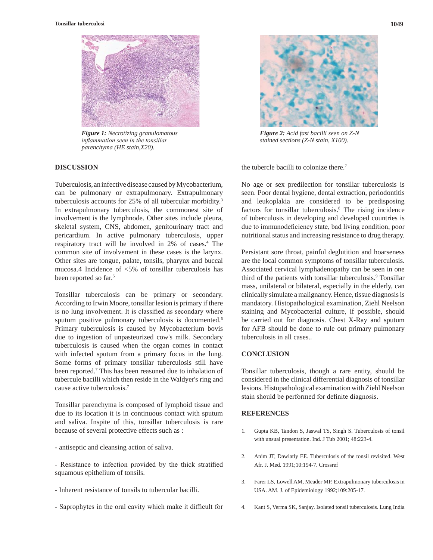



*Figure 1: Necrotizing granulomatous inflammation seen in the tonsillar parenchyma (HE stain,X20).*

## **DISCUSSION**

Tuberculosis, an infective disease caused by Mycobacterium, can be pulmonary or extrapulmonary. Extrapulmonary tuberculosis accounts for 25% of all tubercular morbidity.<sup>3</sup> In extrapulmonary tuberculosis, the commonest site of involvement is the lymphnode. Other sites include pleura, skeletal system, CNS, abdomen, genitourinary tract and pericardium. In active pulmonary tuberculosis, upper respiratory tract will be involved in 2% of cases.4 The common site of involvement in these cases is the larynx. Other sites are tongue, palate, tonsils, pharynx and buccal mucosa.4 Incidence of <5% of tonsillar tuberculosis has been reported so far.<sup>5</sup>

Tonsillar tuberculosis can be primary or secondary. According to Irwin Moore, tonsillar lesion is primary if there is no lung involvement. It is classified as secondary where sputum positive pulmonary tuberculosis is documented.<sup>6</sup> Primary tuberculosis is caused by Mycobacterium bovis due to ingestion of unpasteurized cow's milk. Secondary tuberculosis is caused when the organ comes in contact with infected sputum from a primary focus in the lung. Some forms of primary tonsillar tuberculosis still have been reported.<sup>7</sup> This has been reasoned due to inhalation of tubercule bacilli which then reside in the Waldyer's ring and cause active tuberculosis.7

Tonsillar parenchyma is composed of lymphoid tissue and due to its location it is in continuous contact with sputum and saliva. Inspite of this, tonsillar tuberculosis is rare because of several protective effects such as :

- antiseptic and cleansing action of saliva.
- Resistance to infection provided by the thick stratified squamous epithelium of tonsils.
- Inherent resistance of tonsils to tubercular bacilli.
- Saprophytes in the oral cavity which make it difficult for



*Figure 2: Acid fast bacilli seen on Z-N stained sections (Z-N stain, X100).*

the tubercle bacilli to colonize there.7

No age or sex predilection for tonsillar tuberculosis is seen. Poor dental hygiene, dental extraction, periodontitis and leukoplakia are considered to be predisposing factors for tonsillar tuberculosis.<sup>8</sup> The rising incidence of tuberculosis in developing and developed countries is due to immunodeficiency state, bad living condition, poor nutritional status and increasing resistance to drug therapy.

Persistant sore throat, painful deglutition and hoarseness are the local common symptoms of tonsillar tuberculosis. Associated cervical lymphadenopathy can be seen in one third of the patients with tonsillar tuberculosis.<sup>9</sup> Tonsillar mass, unilateral or bilateral, especially in the elderly, can clinically simulate a malignancy. Hence, tissue diagnosis is mandatory. Histopathological examination, Ziehl Neelson staining and Mycobacterial culture, if possible, should be carried out for diagnosis. Chest X-Ray and sputum for AFB should be done to rule out primary pulmonary tuberculosis in all cases..

# **CONCLUSION**

Tonsillar tuberculosis, though a rare entity, should be considered in the clinical differential diagnosis of tonsillar lesions. Histopathological examination with Ziehl Neelson stain should be performed for definite diagnosis.

#### **REFERENCES**

- 1. Gupta KB, Tandon S, Jaswal TS, Singh S. Tuberculosis of tonsil with unsual presentation. Ind. J Tub 2001; 48:223-4.
- 2. Anim JT, Dawlatly EE. Tuberculosis of the tonsil revisited. West Afr. J. Med. 1991;10:194-7. [Crossref](PMid:1911491)
- 3. Farer LS, Lowell AM, Meader MP. Extrapulmonary tuberculosis in USA. AM. J. of Epidemiology 1992;109:205-17.
- 4. Kant S, Verma SK, Sanjay. Isolated tonsil tuberculosis. Lung India